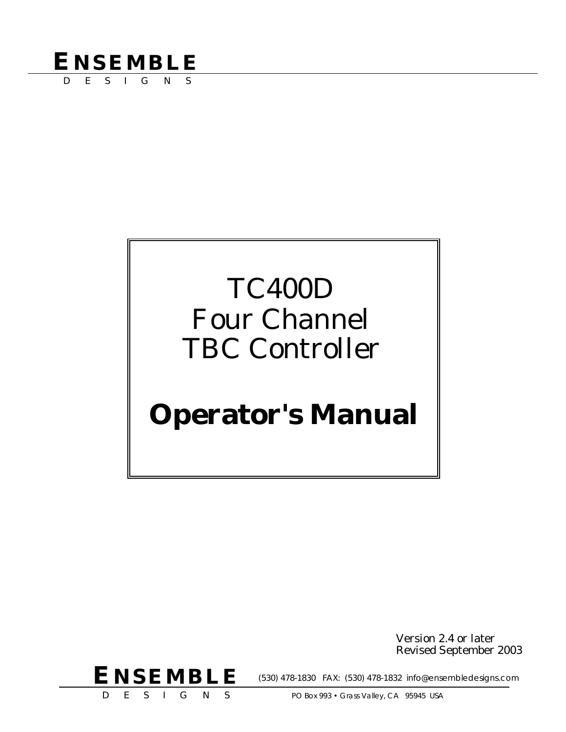## **ENSEMBLE**

DESIGNS

# TC400D Four Channel TBC Controller

# **Operator's Manual**

Version 2.4 or later Revised September 2003



(530) 478-1830 FAX: (530) 478-1832 info@ensembledesigns.com

DESIGNS

PO Box 993 · Grass Valley, CA 95945 USA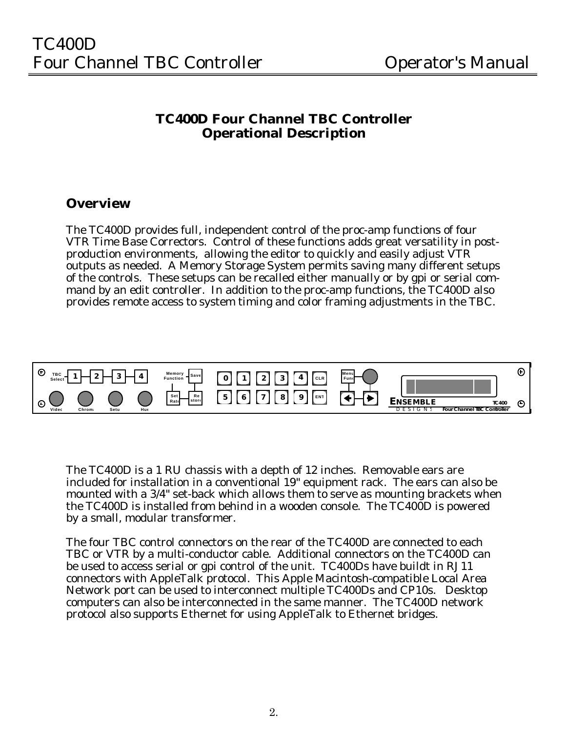### **TC400D Four Channel TBC Controller Operational Description**

### **Overview**

The TC400D provides full, independent control of the proc-amp functions of four VTR Time Base Correctors. Control of these functions adds great versatility in postproduction environments, allowing the editor to quickly and easily adjust VTR outputs as needed. A Memory Storage System permits saving many different setups of the controls. These setups can be recalled either manually or by gpi or serial command by an edit controller. In addition to the proc-amp functions, the TC400D also provides remote access to system timing and color framing adjustments in the TBC.



The TC400D is a 1 RU chassis with a depth of 12 inches. Removable ears are included for installation in a conventional 19" equipment rack. The ears can also be mounted with a 3/4" set-back which allows them to serve as mounting brackets when the TC400D is installed from behind in a wooden console. The TC400D is powered by a small, modular transformer.

The four TBC control connectors on the rear of the TC400D are connected to each TBC or VTR by a multi-conductor cable. Additional connectors on the TC400D can be used to access serial or gpi control of the unit. TC400Ds have buildt in RJ11 connectors with AppleTalk protocol. This Apple Macintosh-compatible Local Area Network port can be used to interconnect multiple TC400Ds and CP10s. Desktop computers can also be interconnected in the same manner. The TC400D network protocol also supports Ethernet for using AppleTalk to Ethernet bridges.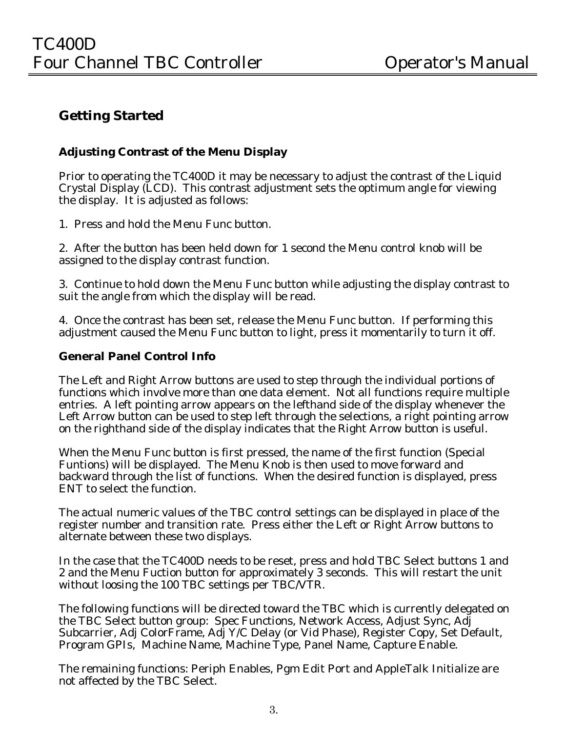### **Getting Started**

### **Adjusting Contrast of the Menu Display**

Prior to operating the TC400D it may be necessary to adjust the contrast of the Liquid Crystal Display (LCD). This contrast adjustment sets the optimum angle for viewing the display. It is adjusted as follows:

1. Press and hold the Menu Func button.

2. After the button has been held down for 1 second the Menu control knob will be assigned to the display contrast function.

3. Continue to hold down the Menu Func button while adjusting the display contrast to suit the angle from which the display will be read.

4. Once the contrast has been set, release the Menu Func button. If performing this adjustment caused the Menu Func button to light, press it momentarily to turn it off.

### **General Panel Control Info**

The Left and Right Arrow buttons are used to step through the individual portions of functions which involve more than one data element. Not all functions require multiple entries. A left pointing arrow appears on the lefthand side of the display whenever the Left Arrow button can be used to step left through the selections, a right pointing arrow on the righthand side of the display indicates that the Right Arrow button is useful.

When the Menu Func button is first pressed, the name of the first function (Special Funtions) will be displayed. The Menu Knob is then used to move forward and backward through the list of functions. When the desired function is displayed, press ENT to select the function.

The actual numeric values of the TBC control settings can be displayed in place of the register number and transition rate. Press either the Left or Right Arrow buttons to alternate between these two displays.

In the case that the TC400D needs to be reset, press and hold TBC Select buttons 1 and 2 and the Menu Fuction button for approximately 3 seconds. This will restart the unit without loosing the 100 TBC settings per TBC/VTR.

The following functions will be directed toward the TBC which is currently delegated on the TBC Select button group: Spec Functions, Network Access, Adjust Sync, Adj Subcarrier, Adj ColorFrame, Adj Y/C Delay (or Vid Phase), Register Copy, Set Default, Program GPIs, Machine Name, Machine Type, Panel Name, Capture Enable.

The remaining functions: Periph Enables, Pgm Edit Port and AppleTalk Initialize are not affected by the TBC Select.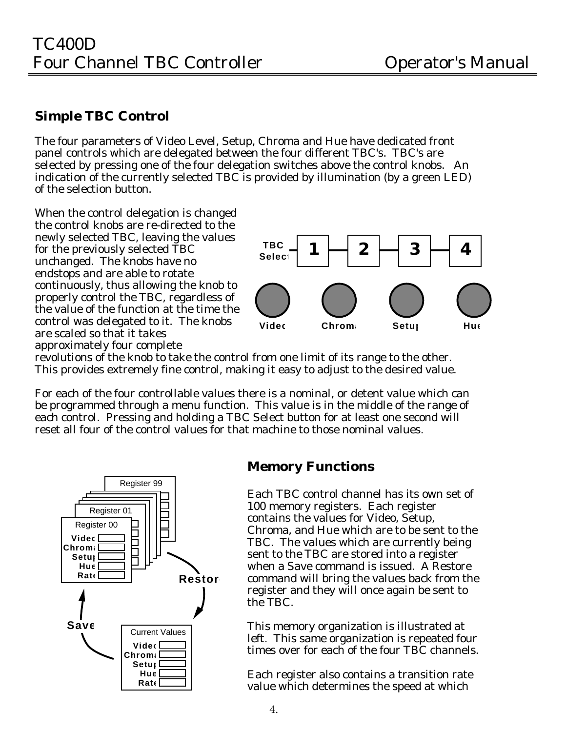### **Simple TBC Control**

The four parameters of Video Level, Setup, Chroma and Hue have dedicated front panel controls which are delegated between the four different TBC's. TBC's are selected by pressing one of the four delegation switches above the control knobs. An indication of the currently selected TBC is provided by illumination (by a green LED) of the selection button.

When the control delegation is changed the control knobs are re-directed to the newly selected TBC, leaving the values for the previously selected TBC unchanged. The knobs have no endstops and are able to rotate continuously, thus allowing the knob to properly control the TBC, regardless of the value of the function at the time the control was delegated to it. The knobs are scaled so that it takes approximately four complete



revolutions of the knob to take the control from one limit of its range to the other. This provides extremely fine control, making it easy to adjust to the desired value.

For each of the four controllable values there is a nominal, or detent value which can be programmed through a menu function. This value is in the middle of the range of each control. Pressing and holding a TBC Select button for at least one second will reset all four of the control values for that machine to those nominal values.



### **Memory Functions**

Each TBC control channel has its own set of 100 memory registers. Each register contains the values for Video, Setup, Chroma, and Hue which are to be sent to the TBC. The values which are currently being sent to the TBC are stored into a register when a Save command is issued. A Restore command will bring the values back from the register and they will once again be sent to the TBC.

This memory organization is illustrated at left. This same organization is repeated four times over for each of the four TBC channels.

Each register also contains a transition rate value which determines the speed at which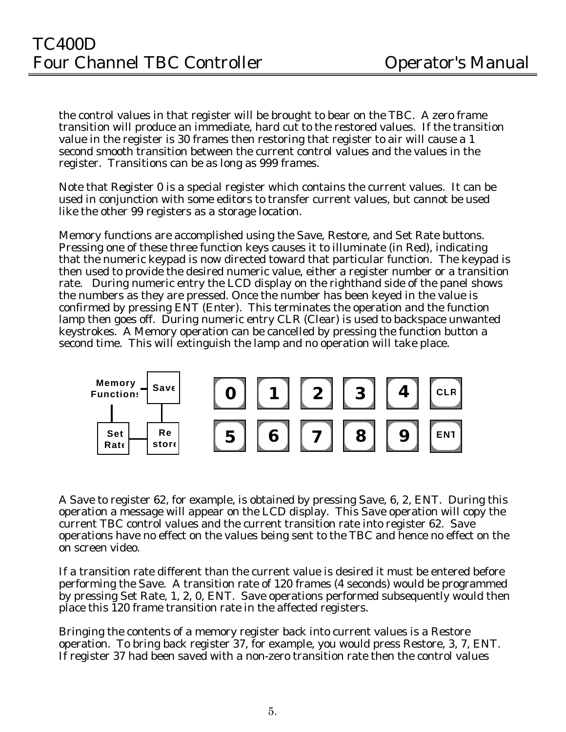the control values in that register will be brought to bear on the TBC. A zero frame transition will produce an immediate, hard cut to the restored values. If the transition value in the register is 30 frames then restoring that register to air will cause a 1 second smooth transition between the current control values and the values in the register. Transitions can be as long as 999 frames.

Note that Register 0 is a special register which contains the current values. It can be used in conjunction with some editors to transfer current values, but cannot be used like the other 99 registers as a storage location.

Memory functions are accomplished using the Save, Restore, and Set Rate buttons. Pressing one of these three function keys causes it to illuminate (in Red), indicating that the numeric keypad is now directed toward that particular function. The keypad is then used to provide the desired numeric value, either a register number or a transition rate. During numeric entry the LCD display on the righthand side of the panel shows the numbers as they are pressed. Once the number has been keyed in the value is confirmed by pressing ENT (Enter). This terminates the operation and the function lamp then goes off. During numeric entry CLR (Clear) is used to backspace unwanted keystrokes. A Memory operation can be cancelled by pressing the function button a second time. This will extinguish the lamp and no operation will take place.



A Save to register 62, for example, is obtained by pressing Save, 6, 2, ENT. During this operation a message will appear on the LCD display. This Save operation will copy the current TBC control values and the current transition rate into register 62. Save operations have no effect on the values being sent to the TBC and hence no effect on the on screen video.

If a transition rate different than the current value is desired it must be entered before performing the Save. A transition rate of 120 frames (4 seconds) would be programmed by pressing Set Rate, 1, 2, 0, ENT. Save operations performed subsequently would then place this 120 frame transition rate in the affected registers.

Bringing the contents of a memory register back into current values is a Restore operation. To bring back register 37, for example, you would press Restore, 3, 7, ENT. If register 37 had been saved with a non-zero transition rate then the control values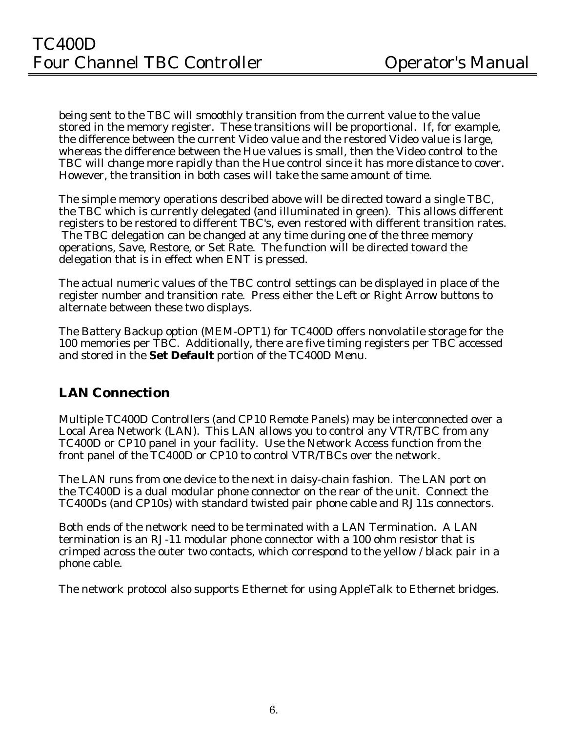being sent to the TBC will smoothly transition from the current value to the value stored in the memory register. These transitions will be proportional. If, for example, the difference between the current Video value and the restored Video value is large, whereas the difference between the Hue values is small, then the Video control to the TBC will change more rapidly than the Hue control since it has more distance to cover. However, the transition in both cases will take the same amount of time.

The simple memory operations described above will be directed toward a single TBC, the TBC which is currently delegated (and illuminated in green). This allows different registers to be restored to different TBC's, even restored with different transition rates. The TBC delegation can be changed at any time during one of the three memory operations, Save, Restore, or Set Rate. The function will be directed toward the delegation that is in effect when ENT is pressed.

The actual numeric values of the TBC control settings can be displayed in place of the register number and transition rate. Press either the Left or Right Arrow buttons to alternate between these two displays.

The Battery Backup option (MEM-OPT1) for TC400D offers nonvolatile storage for the 100 memories per TBC. Additionally, there are five timing registers per TBC accessed and stored in the **Set Default** portion of the TC400D Menu.

### **LAN Connection**

Multiple TC400D Controllers (and CP10 Remote Panels) may be interconnected over a Local Area Network (LAN). This LAN allows you to control any VTR/TBC from any TC400D or CP10 panel in your facility. Use the Network Access function from the front panel of the TC400D or CP10 to control VTR/TBCs over the network.

The LAN runs from one device to the next in daisy-chain fashion. The LAN port on the TC400D is a dual modular phone connector on the rear of the unit. Connect the TC400Ds (and CP10s) with standard twisted pair phone cable and RJ11s connectors.

Both ends of the network need to be terminated with a LAN Termination. A LAN termination is an RJ-11 modular phone connector with a 100 ohm resistor that is crimped across the outer two contacts, which correspond to the yellow / black pair in a phone cable.

The network protocol also supports Ethernet for using AppleTalk to Ethernet bridges.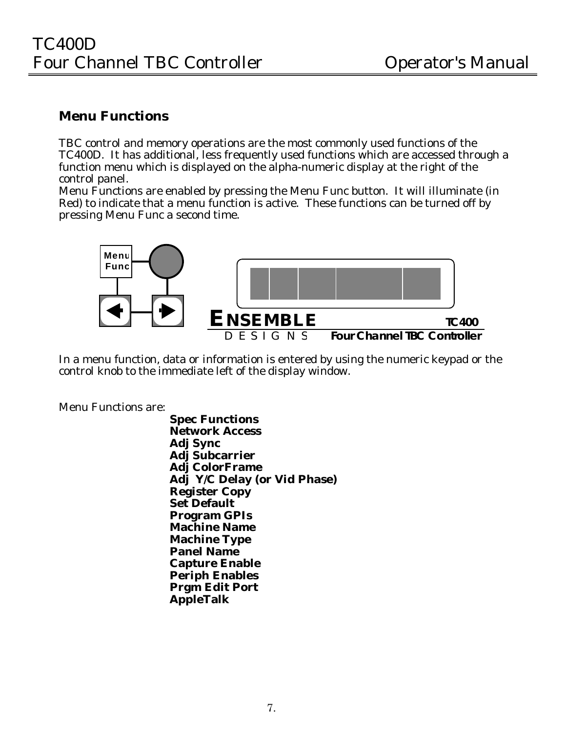### **Menu Functions**

TBC control and memory operations are the most commonly used functions of the TC400D. It has additional, less frequently used functions which are accessed through a function menu which is displayed on the alpha-numeric display at the right of the control panel.

Menu Functions are enabled by pressing the Menu Func button. It will illuminate (in Red) to indicate that a menu function is active. These functions can be turned off by pressing Menu Func a second time.



In a menu function, data or information is entered by using the numeric keypad or the control knob to the immediate left of the display window.

Menu Functions are:

**Spec Functions Network Access Adj Sync Adj Subcarrier Adj ColorFrame Adj Y/C Delay (or Vid Phase) Register Copy Set Default Program GPIs Machine Name Machine Type Panel Name Capture Enable Periph Enables Prgm Edit Port AppleTalk**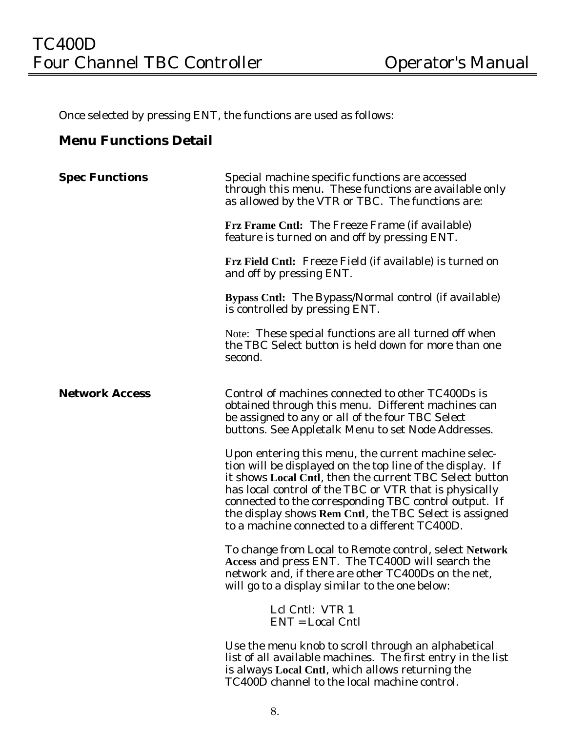Once selected by pressing ENT, the functions are used as follows:

### **Menu Functions Detail**

| <b>Spec Functions</b> | Special machine specific functions are accessed<br>through this menu. These functions are available only<br>as allowed by the VTR or TBC. The functions are:                                                                                                                                                                                                                                              |
|-----------------------|-----------------------------------------------------------------------------------------------------------------------------------------------------------------------------------------------------------------------------------------------------------------------------------------------------------------------------------------------------------------------------------------------------------|
|                       | <b>Frz Frame Cntl: The Freeze Frame (if available)</b><br>feature is turned on and off by pressing ENT.                                                                                                                                                                                                                                                                                                   |
|                       | Frz Field Cntl: Freeze Field (if available) is turned on<br>and off by pressing ENT.                                                                                                                                                                                                                                                                                                                      |
|                       | Bypass Cntl: The Bypass/Normal control (if available)<br>is controlled by pressing ENT.                                                                                                                                                                                                                                                                                                                   |
|                       | Note: These special functions are all turned off when<br>the TBC Select button is held down for more than one<br>second.                                                                                                                                                                                                                                                                                  |
| <b>Network Access</b> | Control of machines connected to other TC400Ds is<br>obtained through this menu. Different machines can<br>be assigned to any or all of the four TBC Select<br>buttons. See Appletalk Menu to set Node Addresses.                                                                                                                                                                                         |
|                       | Upon entering this menu, the current machine selec-<br>tion will be displayed on the top line of the display. If<br>it shows Local Cntl, then the current TBC Select button<br>has local control of the TBC or VTR that is physically<br>connected to the corresponding TBC control output. If<br>the display shows Rem Cntl, the TBC Select is assigned<br>to a machine connected to a different TC400D. |
|                       | To change from Local to Remote control, select Network<br>Access and press ENT. The TC400D will search the<br>network and, if there are other TC400Ds on the net,<br>will go to a display similar to the one below:                                                                                                                                                                                       |
|                       | Lcl Cntl: VTR 1<br><b>ENT</b> = Local Cntl                                                                                                                                                                                                                                                                                                                                                                |
|                       | Use the menu knob to scroll through an alphabetical<br>list of all available machines. The first entry in the list<br>is always Local Cntl, which allows returning the<br>TC400D channel to the local machine control.                                                                                                                                                                                    |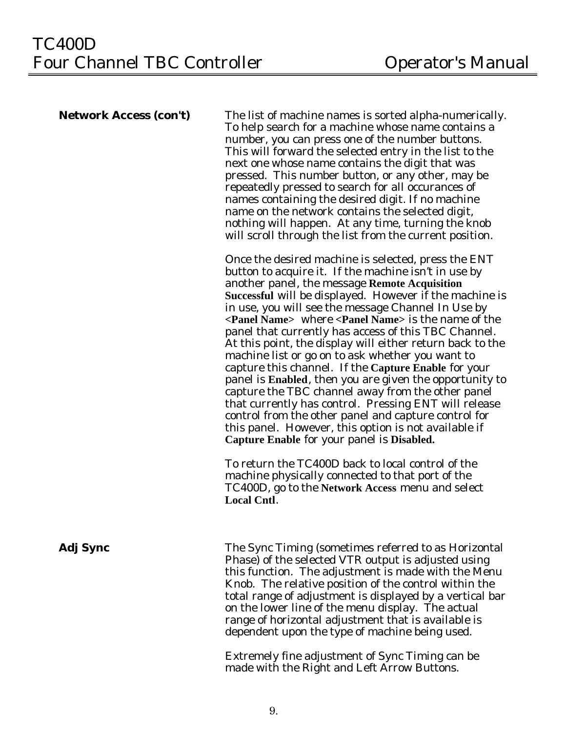**Network Access (con't)** The list of machine names is sorted alpha-numerically. To help search for a machine whose name contains a number, you can press one of the number buttons. This will forward the selected entry in the list to the next one whose name contains the digit that was pressed. This number button, or any other, may be repeatedly pressed to search for all occurances of names containing the desired digit. If no machine name on the network contains the selected digit, nothing will happen. At any time, turning the knob will scroll through the list from the current position.

> Once the desired machine is selected, press the ENT button to acquire it. If the machine isn't in use by another panel, the message **Remote Acquisition Successful** will be displayed. However if the machine is in use, you will see the message Channel In Use by **<Panel Name>** where **<Panel Name>** is the name of the panel that currently has access of this TBC Channel. At this point, the display will either return back to the machine list or go on to ask whether you want to capture this channel. If the **Capture Enable** for your panel is **Enabled**, then you are given the opportunity to capture the TBC channel away from the other panel that currently has control. Pressing ENT will release control from the other panel and capture control for this panel. However, this option is not available if **Capture Enable** for your panel is **Disabled.**

To return the TC400D back to local control of the machine physically connected to that port of the TC400D, go to the **Network Access** menu and select **Local Cntl**.

**Adj Sync** The Sync Timing (sometimes referred to as Horizontal Phase) of the selected VTR output is adjusted using this function. The adjustment is made with the Menu Knob. The relative position of the control within the total range of adjustment is displayed by a vertical bar on the lower line of the menu display. The actual range of horizontal adjustment that is available is dependent upon the type of machine being used.

> Extremely fine adjustment of Sync Timing can be made with the Right and Left Arrow Buttons.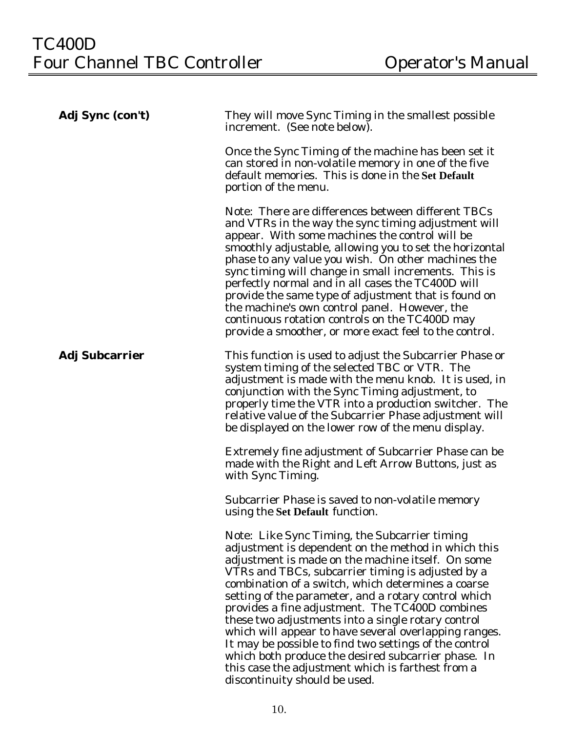| Adj Sync (con't)      | They will move Sync Timing in the smallest possible<br>increment. (See note below).                                                                                                                                                                                                                                                                                                                                                                                                                                                                                                                                                                                                                   |
|-----------------------|-------------------------------------------------------------------------------------------------------------------------------------------------------------------------------------------------------------------------------------------------------------------------------------------------------------------------------------------------------------------------------------------------------------------------------------------------------------------------------------------------------------------------------------------------------------------------------------------------------------------------------------------------------------------------------------------------------|
|                       | Once the Sync Timing of the machine has been set it<br>can stored in non-volatile memory in one of the five<br>default memories. This is done in the Set Default<br>portion of the menu.                                                                                                                                                                                                                                                                                                                                                                                                                                                                                                              |
|                       | Note: There are differences between different TBCs<br>and VTRs in the way the sync timing adjustment will<br>appear. With some machines the control will be<br>smoothly adjustable, allowing you to set the horizontal<br>phase to any value you wish. On other machines the<br>sync timing will change in small increments. This is<br>perfectly normal and in all cases the TC400D will<br>provide the same type of adjustment that is found on<br>the machine's own control panel. However, the<br>continuous rotation controls on the TC400D may<br>provide a smoother, or more exact feel to the control.                                                                                        |
| <b>Adj Subcarrier</b> | This function is used to adjust the Subcarrier Phase or<br>system timing of the selected TBC or VTR. The<br>adjustment is made with the menu knob. It is used, in<br>conjunction with the Sync Timing adjustment, to<br>properly time the VTR into a production switcher. The<br>relative value of the Subcarrier Phase adjustment will<br>be displayed on the lower row of the menu display.                                                                                                                                                                                                                                                                                                         |
|                       | Extremely fine adjustment of Subcarrier Phase can be<br>made with the Right and Left Arrow Buttons, just as<br>with Sync Timing.                                                                                                                                                                                                                                                                                                                                                                                                                                                                                                                                                                      |
|                       | Subcarrier Phase is saved to non-volatile memory<br>using the Set Default function.                                                                                                                                                                                                                                                                                                                                                                                                                                                                                                                                                                                                                   |
|                       | Note: Like Sync Timing, the Subcarrier timing<br>adjustment is dependent on the method in which this<br>adjustment is made on the machine itself. On some<br>VTRs and TBCs, subcarrier timing is adjusted by a<br>combination of a switch, which determines a coarse<br>setting of the parameter, and a rotary control which<br>provides a fine adjustment. The TC400D combines<br>these two adjustments into a single rotary control<br>which will appear to have several overlapping ranges.<br>It may be possible to find two settings of the control<br>which both produce the desired subcarrier phase. In<br>this case the adjustment which is farthest from a<br>discontinuity should be used. |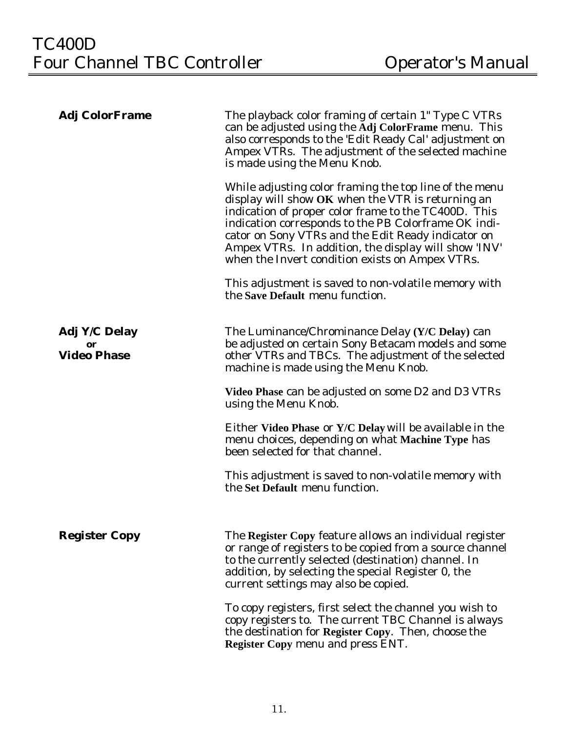| <b>Adj ColorFrame</b>                     | The playback color framing of certain 1" Type C VTRs<br>can be adjusted using the Adj ColorFrame menu. This<br>also corresponds to the 'Edit Ready Cal' adjustment on<br>Ampex VTRs. The adjustment of the selected machine<br>is made using the Menu Knob.                                                                                                                                  |
|-------------------------------------------|----------------------------------------------------------------------------------------------------------------------------------------------------------------------------------------------------------------------------------------------------------------------------------------------------------------------------------------------------------------------------------------------|
|                                           | While adjusting color framing the top line of the menu<br>display will show OK when the VTR is returning an<br>indication of proper color frame to the TC400D. This<br>indication corresponds to the PB Colorframe OK indi-<br>cator on Sony VTRs and the Edit Ready indicator on<br>Ampex VTRs. In addition, the display will show 'INV'<br>when the Invert condition exists on Ampex VTRs. |
|                                           | This adjustment is saved to non-volatile memory with<br>the Save Default menu function.                                                                                                                                                                                                                                                                                                      |
| Adj Y/C Delay<br>or<br><b>Video Phase</b> | The Luminance/Chrominance Delay (Y/C Delay) can<br>be adjusted on certain Sony Betacam models and some<br>other VTRs and TBCs. The adjustment of the selected<br>machine is made using the Menu Knob.                                                                                                                                                                                        |
|                                           | Video Phase can be adjusted on some D2 and D3 VTRs<br>using the Menu Knob.                                                                                                                                                                                                                                                                                                                   |
|                                           | Either Video Phase or Y/C Delay will be available in the<br>menu choices, depending on what Machine Type has<br>been selected for that channel.                                                                                                                                                                                                                                              |
|                                           | This adjustment is saved to non-volatile memory with<br>the Set Default menu function.                                                                                                                                                                                                                                                                                                       |
| <b>Register Copy</b>                      | The Register Copy feature allows an individual register<br>or range of registers to be copied from a source channel<br>to the currently selected (destination) channel. In<br>addition, by selecting the special Register 0, the<br>current settings may also be copied.                                                                                                                     |
|                                           | To copy registers, first select the channel you wish to<br>copy registers to. The current TBC Channel is always<br>the destination for Register Copy. Then, choose the<br><b>Register Copy menu and press ENT.</b>                                                                                                                                                                           |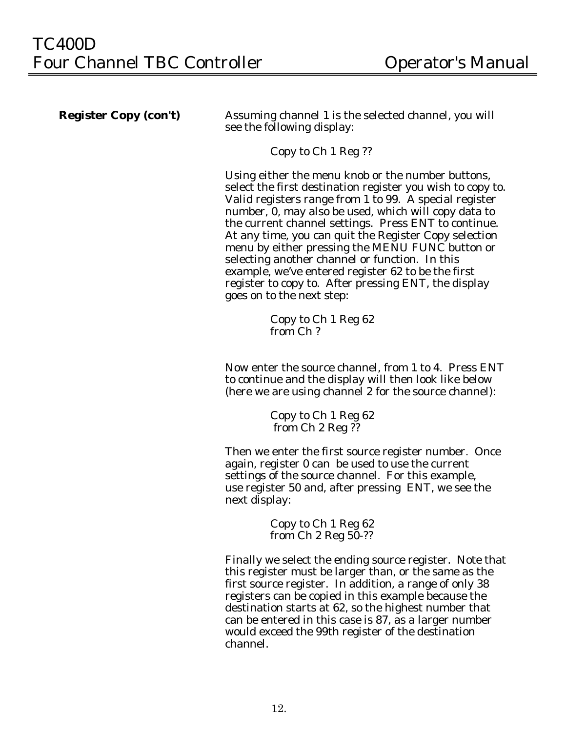**Register Copy (con't)** Assuming channel 1 is the selected channel, you will see the following display:

Copy to Ch 1 Reg ??

Using either the menu knob or the number buttons, select the first destination register you wish to copy to. Valid registers range from 1 to 99. A special register number, 0, may also be used, which will copy data to the current channel settings. Press ENT to continue. At any time, you can quit the Register Copy selection menu by either pressing the MENU FUNC button or selecting another channel or function. In this example, we've entered register 62 to be the first register to copy to. After pressing ENT, the display goes on to the next step:

> Copy to Ch 1 Reg 62 from Ch ?

Now enter the source channel, from 1 to 4. Press ENT to continue and the display will then look like below (here we are using channel 2 for the source channel):

> Copy to Ch 1 Reg 62 from Ch 2 Reg ??

Then we enter the first source register number. Once again, register 0 can be used to use the current settings of the source channel. For this example, use register 50 and, after pressing ENT, we see the next display:

> Copy to Ch 1 Reg 62 from Ch 2 Reg 50-??

Finally we select the ending source register. Note that this register must be larger than, or the same as the first source register. In addition, a range of only 38 registers can be copied in this example because the destination starts at 62, so the highest number that can be entered in this case is 87, as a larger number would exceed the 99th register of the destination channel.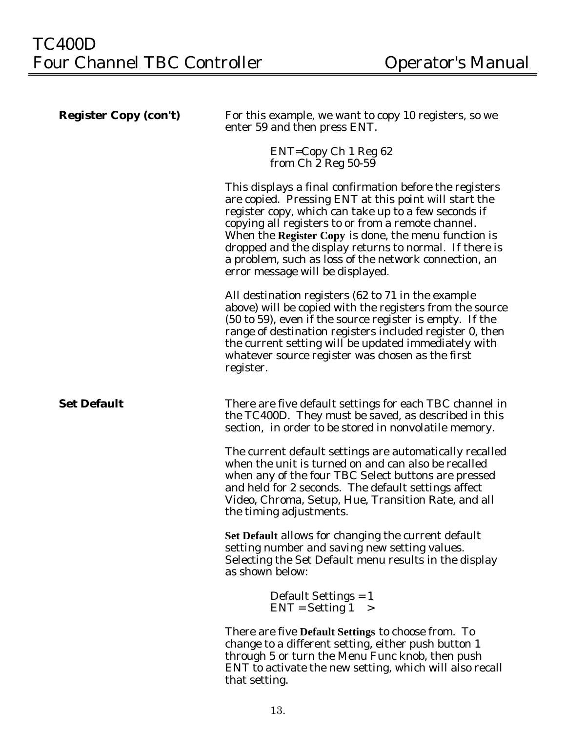| <b>Register Copy (con't)</b> | For this example, we want to copy 10 registers, so we<br>enter 59 and then press ENT.                                                                                                                                                                                                                                                                                                                                                         |
|------------------------------|-----------------------------------------------------------------------------------------------------------------------------------------------------------------------------------------------------------------------------------------------------------------------------------------------------------------------------------------------------------------------------------------------------------------------------------------------|
|                              | $ENT = Copy Ch 1 Reg 62$<br>from $Ch$ 2 Reg 50-59                                                                                                                                                                                                                                                                                                                                                                                             |
|                              | This displays a final confirmation before the registers<br>are copied. Pressing ENT at this point will start the<br>register copy, which can take up to a few seconds if<br>copying all registers to or from a remote channel.<br>When the Register Copy is done, the menu function is<br>dropped and the display returns to normal. If there is<br>a problem, such as loss of the network connection, an<br>error message will be displayed. |
|                              | All destination registers (62 to 71 in the example<br>above) will be copied with the registers from the source<br>(50 to 59), even if the source register is empty. If the<br>range of destination registers included register 0, then<br>the current setting will be updated immediately with<br>whatever source register was chosen as the first<br>register.                                                                               |
| <b>Set Default</b>           | There are five default settings for each TBC channel in<br>the TC400D. They must be saved, as described in this<br>section, in order to be stored in nonvolatile memory.                                                                                                                                                                                                                                                                      |
|                              | The current default settings are automatically recalled<br>when the unit is turned on and can also be recalled<br>when any of the four TBC Select buttons are pressed<br>and held for 2 seconds. The default settings affect<br>Video, Chroma, Setup, Hue, Transition Rate, and all<br>the timing adjustments.                                                                                                                                |
|                              | Set Default allows for changing the current default<br>setting number and saving new setting values.<br>Selecting the Set Default menu results in the display<br>as shown below:                                                                                                                                                                                                                                                              |
|                              | Default Settings $= 1$<br>$ENT = Setting 1 >$                                                                                                                                                                                                                                                                                                                                                                                                 |
|                              | There are five Default Settings to choose from. To<br>change to a different setting, either push button 1<br>through 5 or turn the Menu Func knob, then push<br>ENT to activate the new setting, which will also recall<br>that setting.                                                                                                                                                                                                      |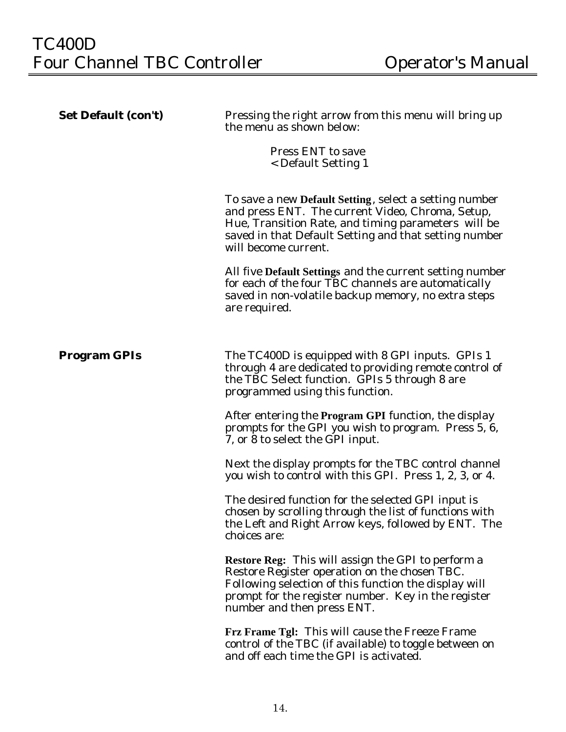| <b>Set Default (con't)</b> | Pressing the right arrow from this menu will bring up<br>the menu as shown below:                                                                                                                                                                  |  |
|----------------------------|----------------------------------------------------------------------------------------------------------------------------------------------------------------------------------------------------------------------------------------------------|--|
|                            | <b>Press ENT</b> to save<br>< Default Setting 1                                                                                                                                                                                                    |  |
|                            | To save a new Default Setting, select a setting number<br>and press ENT. The current Video, Chroma, Setup,<br>Hue, Transition Rate, and timing parameters will be<br>saved in that Default Setting and that setting number<br>will become current. |  |
|                            | All five Default Settings and the current setting number<br>for each of the four TBC channels are automatically<br>saved in non-volatile backup memory, no extra steps<br>are required.                                                            |  |
| <b>Program GPIs</b>        | The TC400D is equipped with 8 GPI inputs. GPIs 1<br>through 4 are dedicated to providing remote control of<br>the TBC Select function. GPIs 5 through 8 are<br>programmed using this function.                                                     |  |
|                            | After entering the Program GPI function, the display<br>prompts for the GPI you wish to program. Press 5, 6,<br>7, or 8 to select the GPI input.                                                                                                   |  |
|                            | Next the display prompts for the TBC control channel<br>you wish to control with this GPI. Press 1, 2, 3, or 4.                                                                                                                                    |  |
|                            | The desired function for the selected GPI input is<br>chosen by scrolling through the list of functions with<br>the Left and Right Arrow keys, followed by ENT. The<br>choices are:                                                                |  |
|                            | Restore Reg: This will assign the GPI to perform a<br>Restore Register operation on the chosen TBC.<br>Following selection of this function the display will<br>prompt for the register number. Key in the register<br>number and then press ENT.  |  |
|                            | Frz Frame Tgl: This will cause the Freeze Frame<br>control of the TBC (if available) to toggle between on<br>and off each time the GPI is activated.                                                                                               |  |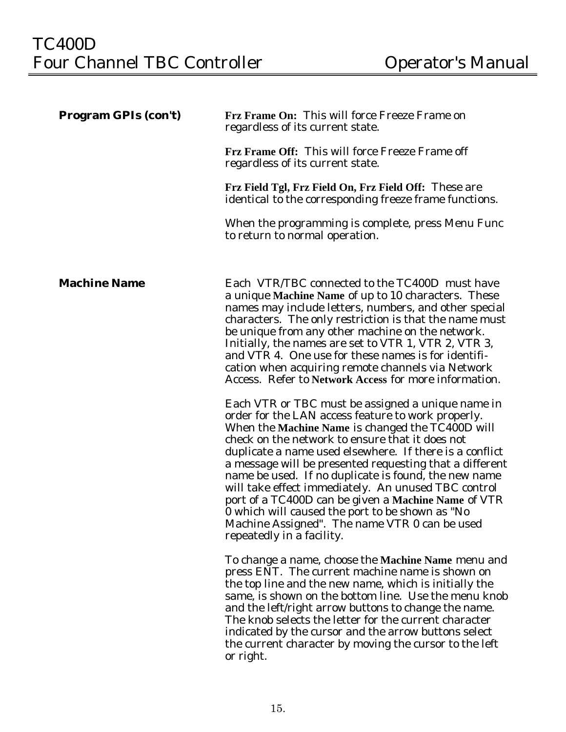| <b>Program GPIs (con't)</b> | Frz Frame On: This will force Freeze Frame on<br>regardless of its current state.                                                                                                                                                                                                                                                                                                                                                                                                                                                                                                                                                           |  |
|-----------------------------|---------------------------------------------------------------------------------------------------------------------------------------------------------------------------------------------------------------------------------------------------------------------------------------------------------------------------------------------------------------------------------------------------------------------------------------------------------------------------------------------------------------------------------------------------------------------------------------------------------------------------------------------|--|
|                             | Frz Frame Off: This will force Freeze Frame off<br>regardless of its current state.                                                                                                                                                                                                                                                                                                                                                                                                                                                                                                                                                         |  |
|                             | Frz Field Tgl, Frz Field On, Frz Field Off: These are<br>identical to the corresponding freeze frame functions.                                                                                                                                                                                                                                                                                                                                                                                                                                                                                                                             |  |
|                             | When the programming is complete, press Menu Func<br>to return to normal operation.                                                                                                                                                                                                                                                                                                                                                                                                                                                                                                                                                         |  |
| <b>Machine Name</b>         | Each VTR/TBC connected to the TC400D must have<br>a unique Machine Name of up to 10 characters. These<br>names may include letters, numbers, and other special<br>characters. The only restriction is that the name must<br>be unique from any other machine on the network.<br>Initially, the names are set to VTR 1, VTR 2, VTR 3,<br>and VTR 4. One use for these names is for identifi-<br>cation when acquiring remote channels via Network<br>Access. Refer to Network Access for more information.                                                                                                                                   |  |
|                             | Each VTR or TBC must be assigned a unique name in<br>order for the LAN access feature to work properly.<br>When the Machine Name is changed the TC400D will<br>check on the network to ensure that it does not<br>duplicate a name used elsewhere. If there is a conflict<br>a message will be presented requesting that a different<br>name be used. If no duplicate is found, the new name<br>will take effect immediately. An unused TBC control<br>port of a TC400D can be given a Machine Name of VTR<br>0 which will caused the port to be shown as "No<br>Machine Assigned". The name VTR 0 can be used<br>repeatedly in a facility. |  |
|                             | To change a name, choose the Machine Name menu and<br>press ENT. The current machine name is shown on<br>the top line and the new name, which is initially the<br>same, is shown on the bottom line. Use the menu knob<br>and the left/right arrow buttons to change the name.<br>The knob selects the letter for the current character<br>indicated by the cursor and the arrow buttons select<br>the current character by moving the cursor to the left<br>or right.                                                                                                                                                                      |  |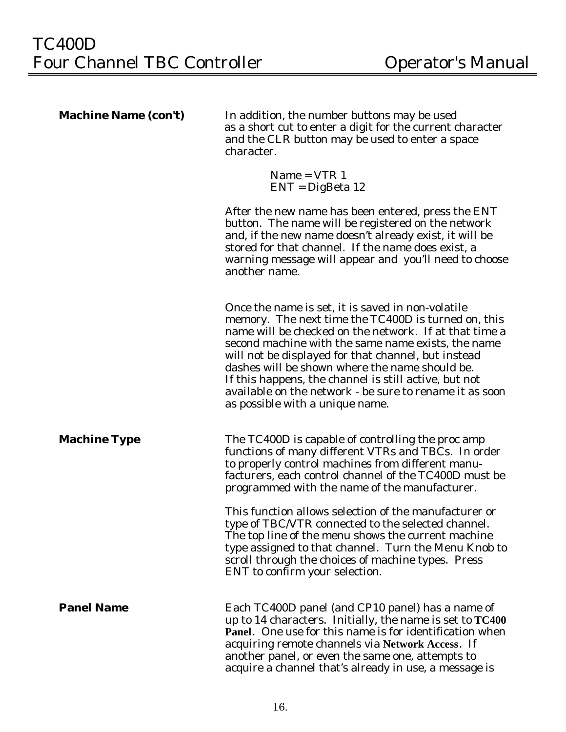| <b>Machine Name (con't)</b> | In addition, the number buttons may be used<br>as a short cut to enter a digit for the current character<br>and the CLR button may be used to enter a space<br>character.                                                                                                                                                                                                                                                                                                                |  |
|-----------------------------|------------------------------------------------------------------------------------------------------------------------------------------------------------------------------------------------------------------------------------------------------------------------------------------------------------------------------------------------------------------------------------------------------------------------------------------------------------------------------------------|--|
|                             | $Name = VTR 1$<br>$ENT = DigBeta 12$                                                                                                                                                                                                                                                                                                                                                                                                                                                     |  |
|                             | After the new name has been entered, press the ENT<br>button. The name will be registered on the network<br>and, if the new name doesn't already exist, it will be<br>stored for that channel. If the name does exist, a<br>warning message will appear and you'll need to choose<br>another name.                                                                                                                                                                                       |  |
|                             | Once the name is set, it is saved in non-volatile<br>memory. The next time the TC400D is turned on, this<br>name will be checked on the network. If at that time a<br>second machine with the same name exists, the name<br>will not be displayed for that channel, but instead<br>dashes will be shown where the name should be.<br>If this happens, the channel is still active, but not<br>available on the network - be sure to rename it as soon<br>as possible with a unique name. |  |
| <b>Machine Type</b>         | The TC400D is capable of controlling the proc amp<br>functions of many different VTRs and TBCs. In order<br>to properly control machines from different manu-<br>facturers, each control channel of the TC400D must be<br>programmed with the name of the manufacturer.                                                                                                                                                                                                                  |  |
|                             | This function allows selection of the manufacturer or<br>type of TBC/VTR connected to the selected channel.<br>The top line of the menu shows the current machine<br>type assigned to that channel. Turn the Menu Knob to<br>scroll through the choices of machine types. Press<br>ENT to confirm your selection.                                                                                                                                                                        |  |
| <b>Panel Name</b>           | Each TC400D panel (and CP10 panel) has a name of<br>up to 14 characters. Initially, the name is set to TC400<br>Panel. One use for this name is for identification when<br>acquiring remote channels via Network Access. If<br>another panel, or even the same one, attempts to<br>acquire a channel that's already in use, a message is                                                                                                                                                 |  |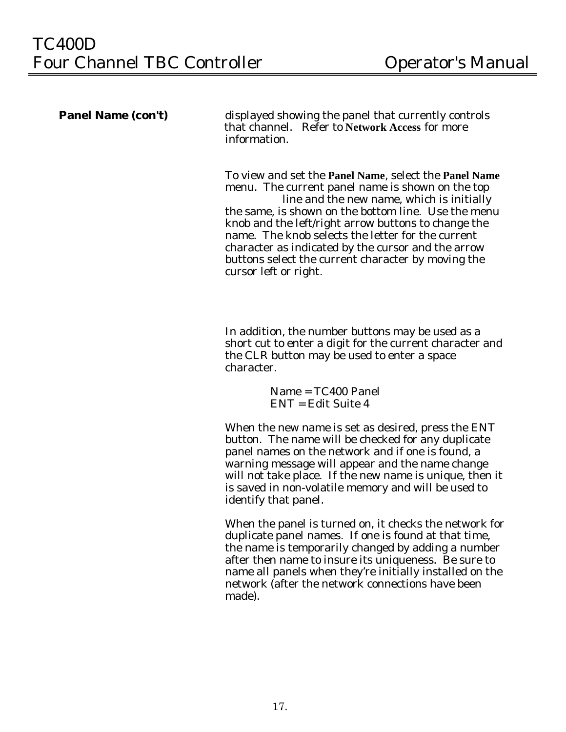**Panel Name (con't) displayed showing the panel that currently controls** that channel. Refer to **Network Access** for more information.

> To view and set the **Panel Name**, select the **Panel Name** menu. The current panel name is shown on the top line and the new name, which is initially the same, is shown on the bottom line. Use the menu knob and the left/right arrow buttons to change the name. The knob selects the letter for the current character as indicated by the cursor and the arrow buttons select the current character by moving the cursor left or right.

> In addition, the number buttons may be used as a short cut to enter a digit for the current character and the CLR button may be used to enter a space character.

> > Name = TC400 Panel ENT = Edit Suite 4

When the new name is set as desired, press the ENT button. The name will be checked for any duplicate panel names on the network and if one is found, a warning message will appear and the name change will not take place. If the new name is unique, then it is saved in non-volatile memory and will be used to identify that panel.

When the panel is turned on, it checks the network for duplicate panel names. If one is found at that time, the name is temporarily changed by adding a number after then name to insure its uniqueness. Be sure to name all panels when they're initially installed on the network (after the network connections have been made).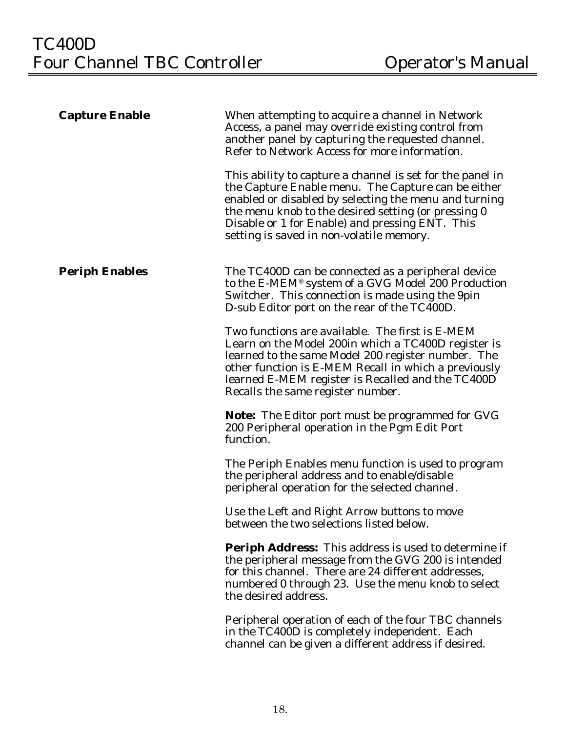| <b>Capture Enable</b> | When attempting to acquire a channel in Network<br>Access, a panel may override existing control from<br>another panel by capturing the requested channel.<br>Refer to Network Access for more information.                                                                                                                    |
|-----------------------|--------------------------------------------------------------------------------------------------------------------------------------------------------------------------------------------------------------------------------------------------------------------------------------------------------------------------------|
|                       | This ability to capture a channel is set for the panel in<br>the Capture Enable menu. The Capture can be either<br>enabled or disabled by selecting the menu and turning<br>the menu knob to the desired setting (or pressing 0<br>Disable or 1 for Enable) and pressing ENT. This<br>setting is saved in non-volatile memory. |
| <b>Periph Enables</b> | The TC400D can be connected as a peripheral device<br>to the E-MEM® system of a GVG Model 200 Production<br>Switcher. This connection is made using the 9pin<br>D-sub Editor port on the rear of the TC400D.                                                                                                                   |
|                       | Two functions are available. The first is E-MEM<br>Learn on the Model 200in which a TC400D register is<br>learned to the same Model 200 register number. The<br>other function is E-MEM Recall in which a previously<br>learned E-MEM register is Recalled and the TC400D<br>Recalls the same register number.                 |
|                       | Note: The Editor port must be programmed for GVG<br>200 Peripheral operation in the Pgm Edit Port<br>function.                                                                                                                                                                                                                 |
|                       | The Periph Enables menu function is used to program<br>the peripheral address and to enable/disable<br>peripheral operation for the selected channel.                                                                                                                                                                          |
|                       | Use the Left and Right Arrow buttons to move<br>between the two selections listed below.                                                                                                                                                                                                                                       |
|                       | <b>Periph Address:</b> This address is used to determine if<br>the peripheral message from the GVG 200 is intended<br>for this channel. There are 24 different addresses,<br>numbered 0 through 23. Use the menu knob to select<br>the desired address.                                                                        |
|                       | Peripheral operation of each of the four TBC channels<br>in the TC400D is completely independent. Each<br>channel can be given a different address if desired.                                                                                                                                                                 |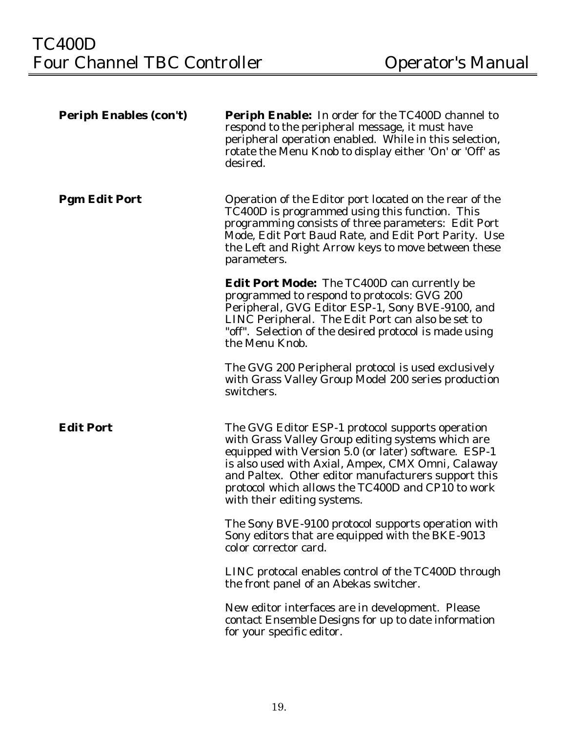| <b>Periph Enables (con't)</b> | <b>Periph Enable:</b> In order for the TC400D channel to<br>respond to the peripheral message, it must have<br>peripheral operation enabled. While in this selection,<br>rotate the Menu Knob to display either 'On' or 'Off' as<br>desired.                                                                                                                  |
|-------------------------------|---------------------------------------------------------------------------------------------------------------------------------------------------------------------------------------------------------------------------------------------------------------------------------------------------------------------------------------------------------------|
| <b>Pgm Edit Port</b>          | Operation of the Editor port located on the rear of the<br>TC400D is programmed using this function. This<br>programming consists of three parameters: Edit Port<br>Mode, Edit Port Baud Rate, and Edit Port Parity. Use<br>the Left and Right Arrow keys to move between these<br>parameters.                                                                |
|                               | <b>Edit Port Mode:</b> The TC400D can currently be<br>programmed to respond to protocols: GVG 200<br>Peripheral, GVG Editor ESP-1, Sony BVE-9100, and<br>LINC Peripheral. The Edit Port can also be set to<br>"off". Selection of the desired protocol is made using<br>the Menu Knob.                                                                        |
|                               | The GVG 200 Peripheral protocol is used exclusively<br>with Grass Valley Group Model 200 series production<br>switchers.                                                                                                                                                                                                                                      |
| <b>Edit Port</b>              | The GVG Editor ESP-1 protocol supports operation<br>with Grass Valley Group editing systems which are<br>equipped with Version 5.0 (or later) software. ESP-1<br>is also used with Axial, Ampex, CMX Omni, Calaway<br>and Paltex. Other editor manufacturers support this<br>protocol which allows the TC400D and CP10 to work<br>with their editing systems. |
|                               | The Sony BVE-9100 protocol supports operation with<br>Sony editors that are equipped with the BKE-9013<br>color corrector card.                                                                                                                                                                                                                               |
|                               | LINC protocal enables control of the TC400D through<br>the front panel of an Abekas switcher.                                                                                                                                                                                                                                                                 |
|                               | New editor interfaces are in development. Please<br>contact Ensemble Designs for up to date information<br>for your specific editor.                                                                                                                                                                                                                          |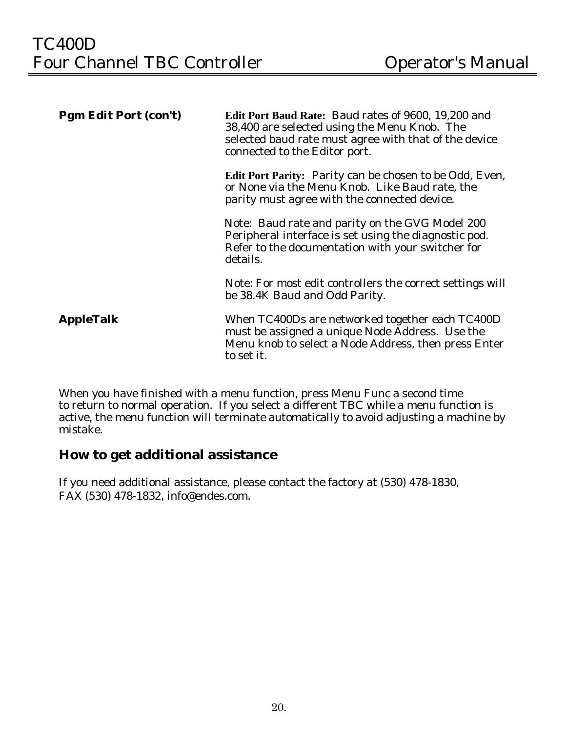| <b>Pgm Edit Port (con't)</b> | <b>Edit Port Baud Rate: Baud rates of 9600, 19,200 and</b><br>38,400 are selected using the Menu Knob. The<br>selected baud rate must agree with that of the device<br>connected to the Editor port. |
|------------------------------|------------------------------------------------------------------------------------------------------------------------------------------------------------------------------------------------------|
|                              | <b>Edit Port Parity:</b> Parity can be chosen to be Odd, Even,<br>or None via the Menu Knob. Like Baud rate, the<br>parity must agree with the connected device.                                     |
|                              | Note: Baud rate and parity on the GVG Model 200<br>Peripheral interface is set using the diagnostic pod.<br>Refer to the documentation with your switcher for<br>details.                            |
|                              | Note: For most edit controllers the correct settings will<br>be 38.4K Baud and Odd Parity.                                                                                                           |
| <b>AppleTalk</b>             | When TC400Ds are networked together each TC400D<br>must be assigned a unique Node Address. Use the<br>Menu knob to select a Node Address, then press Enter<br>to set it.                             |

When you have finished with a menu function, press Menu Func a second time to return to normal operation. If you select a different TBC while a menu function is active, the menu function will terminate automatically to avoid adjusting a machine by mistake.

### **How to get additional assistance**

If you need additional assistance, please contact the factory at (530) 478-1830, FAX (530) 478-1832, info@endes.com.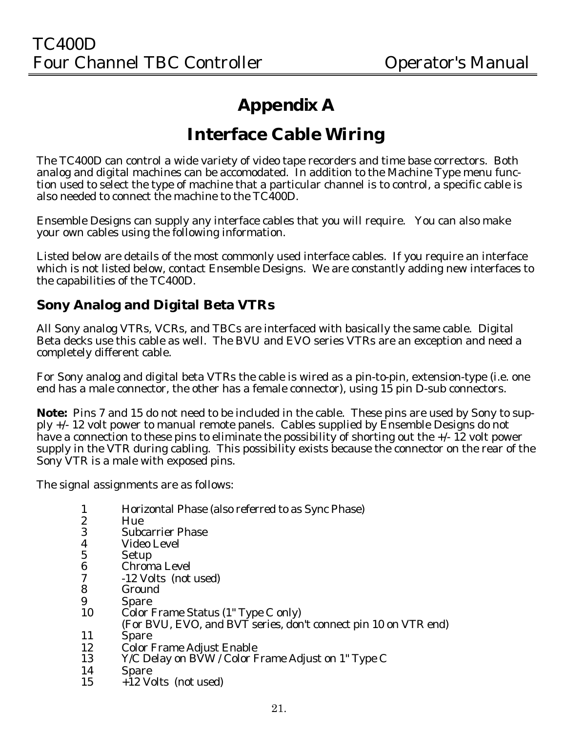## **Appendix A**

## **Interface Cable Wiring**

The TC400D can control a wide variety of video tape recorders and time base correctors. Both analog and digital machines can be accomodated. In addition to the Machine Type menu function used to select the type of machine that a particular channel is to control, a specific cable is also needed to connect the machine to the TC400D.

Ensemble Designs can supply any interface cables that you will require. You can also make your own cables using the following information.

Listed below are details of the most commonly used interface cables. If you require an interface which is not listed below, contact Ensemble Designs. We are constantly adding new interfaces to the capabilities of the TC400D.

### **Sony Analog and Digital Beta VTRs**

All Sony analog VTRs, VCRs, and TBCs are interfaced with basically the same cable. Digital Beta decks use this cable as well. The BVU and EVO series VTRs are an exception and need a completely different cable.

For Sony analog and digital beta VTRs the cable is wired as a pin-to-pin, extension-type (i.e. one end has a male connector, the other has a female connector), using 15 pin D-sub connectors.

**Note:** Pins 7 and 15 do not need to be included in the cable. These pins are used by Sony to supply +/- 12 volt power to manual remote panels. Cables supplied by Ensemble Designs do not have a connection to these pins to eliminate the possibility of shorting out the  $+/-12$  volt power supply in the VTR during cabling. This possibility exists because the connector on the rear of the Sony VTR is a male with exposed pins.

The signal assignments are as follows:

- 1 Horizontal Phase (also referred to as Sync Phase)
- 2 Hue<br>3 Subc
- 3 Subcarrier Phase
- 4 Video Level<br>5 Setup
- **Setup**
- 6 Chroma Level
- 7 -12 Volts (not used)
- **Ground**
- 9 Spare<br>10 Color 1
- Color Frame Status (1" Type C only)
- (For BVU, EVO, and BVT series, don't connect pin 10 on VTR end)
- 11 Spare
- 12 Color Frame Adjust Enable<br>13 Y/C Delay on BVW / Color F
- Y/C Delay on BVW / Color Frame Adjust on 1" Type C
- $\begin{array}{cc}\n 14 & \text{Space} \\
15 & +12 \text{ V} \\
\end{array}$
- $+12$  Volts (not used)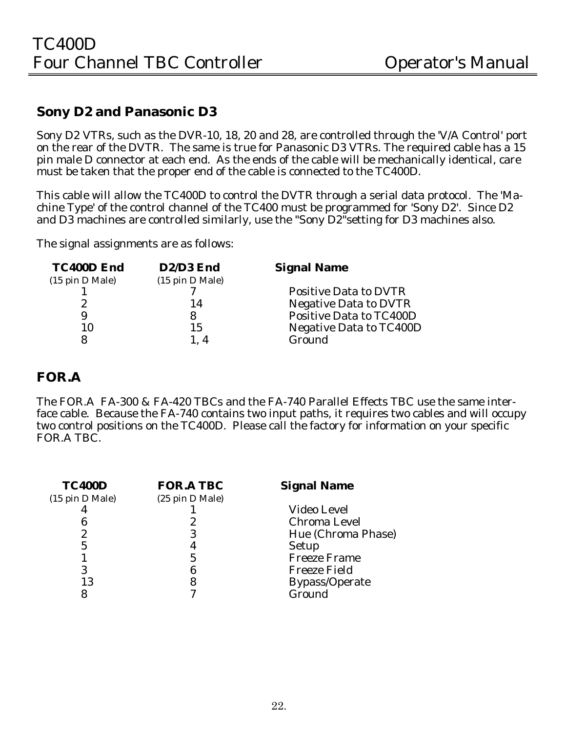### **Sony D2 and Panasonic D3**

Sony D2 VTRs, such as the DVR-10, 18, 20 and 28, are controlled through the 'V/A Control' port on the rear of the DVTR. The same is true for Panasonic D3 VTRs. The required cable has a 15 pin male D connector at each end. As the ends of the cable will be mechanically identical, care must be taken that the proper end of the cable is connected to the TC400D.

This cable will allow the TC400D to control the DVTR through a serial data protocol. The 'Machine Type' of the control channel of the TC400 must be programmed for 'Sony D2'. Since D2 and D3 machines are controlled similarly, use the "Sony D2"setting for D3 machines also.

The signal assignments are as follows:

| <b>TC400D End</b>                  | D2/D3 End       | <b>Signal Name</b>             |
|------------------------------------|-----------------|--------------------------------|
| $(15 \text{ pin } D \text{ Male})$ | (15 pin D Male) |                                |
|                                    |                 | <b>Positive Data to DVTR</b>   |
|                                    | 14              | <b>Negative Data to DVTR</b>   |
| 9                                  |                 | <b>Positive Data to TC400D</b> |
|                                    | 15              | <b>Negative Data to TC400D</b> |
|                                    | 1.4             | Ground                         |

### **FOR.A**

The FOR.A FA-300 & FA-420 TBCs and the FA-740 Parallel Effects TBC use the same interface cable. Because the FA-740 contains two input paths, it requires two cables and will occupy two control positions on the TC400D. Please call the factory for information on your specific FOR.A TBC.

| <b>TC400D</b>   | <b>FOR.A TBC</b> | <b>Signal Name</b>    |
|-----------------|------------------|-----------------------|
| (15 pin D Male) | (25 pin D Male)  |                       |
|                 |                  | <b>Video Level</b>    |
|                 |                  | <b>Chroma Level</b>   |
|                 |                  | Hue (Chroma Phase)    |
| 5               | 4                | <b>Setup</b>          |
|                 | 5                | <b>Freeze Frame</b>   |
| 3               | 6                | <b>Freeze Field</b>   |
| 13              | 8                | <b>Bypass/Operate</b> |
|                 |                  | Ground                |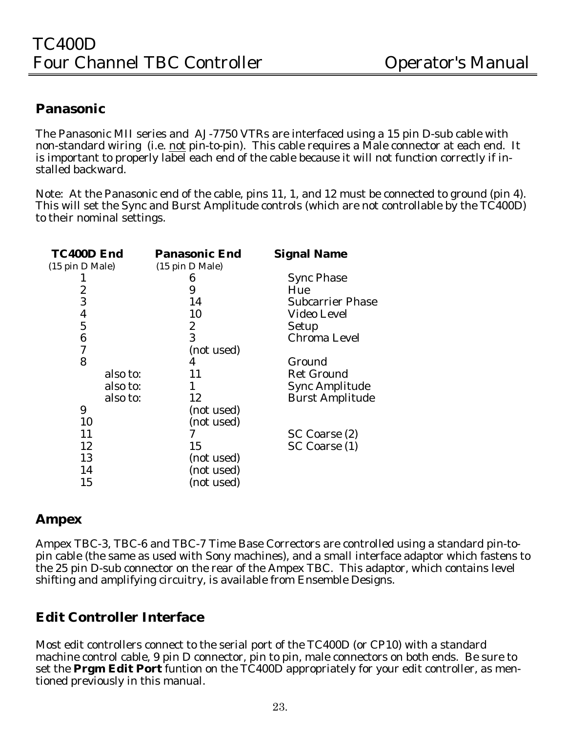### **Panasonic**

The Panasonic MII series and AJ-7750 VTRs are interfaced using a 15 pin D-sub cable with non-standard wiring (i.e. not pin-to-pin). This cable requires a Male connector at each end. It is important to properly label each end of the cable because it will not function correctly if installed backward.

Note: At the Panasonic end of the cable, pins 11, 1, and 12 must be connected to ground (pin 4). This will set the Sync and Burst Amplitude controls (which are not controllable by the TC400D) to their nominal settings.

| TC400D End      | <b>Panasonic End</b> | <b>Signal Name</b>      |
|-----------------|----------------------|-------------------------|
| (15 pin D Male) | (15 pin D Male)      |                         |
|                 | 6                    | <b>Sync Phase</b>       |
| 2               | 9                    | Hue                     |
| 3               | 14                   | <b>Subcarrier Phase</b> |
| 4               | 10                   | Video Level             |
| $\overline{5}$  | 2                    | <b>Setup</b>            |
| 6               | 3                    | <b>Chroma Level</b>     |
| 7               | (not used)           |                         |
| 8               | 4                    | Ground                  |
| also to:        | 11                   | <b>Ret Ground</b>       |
| also to:        |                      | <b>Sync Amplitude</b>   |
| also to:        | 12                   | <b>Burst Amplitude</b>  |
| 9               | (not used)           |                         |
| 10              | (not used)           |                         |
| 11              |                      | SC Coarse (2)           |
| 12              | 15                   | SC Coarse (1)           |
| 13              | (not used)           |                         |
| 14              | (not used)           |                         |
| 15              | (not used)           |                         |

### **Ampex**

Ampex TBC-3, TBC-6 and TBC-7 Time Base Correctors are controlled using a standard pin-topin cable (the same as used with Sony machines), and a small interface adaptor which fastens to the 25 pin D-sub connector on the rear of the Ampex TBC. This adaptor, which contains level shifting and amplifying circuitry, is available from Ensemble Designs.

### **Edit Controller Interface**

Most edit controllers connect to the serial port of the TC400D (or CP10) with a standard machine control cable, 9 pin D connector, pin to pin, male connectors on both ends. Be sure to set the **Prgm Edit Port** funtion on the TC400D appropriately for your edit controller, as mentioned previously in this manual.